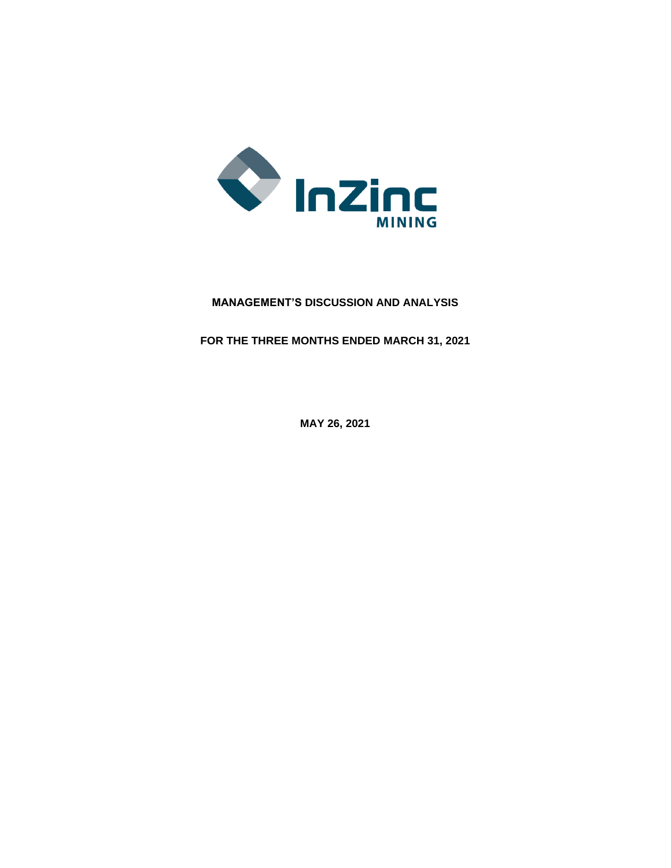

# **MANAGEMENT'S DISCUSSION AND ANALYSIS**

**FOR THE THREE MONTHS ENDED MARCH 31, 2021**

**MAY 26, 2021**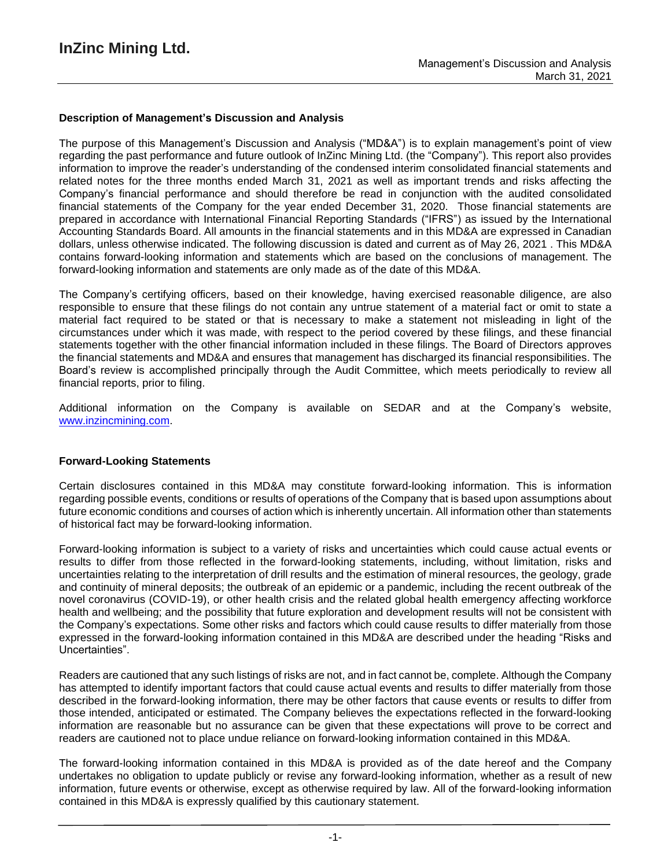### **Description of Management's Discussion and Analysis**

The purpose of this Management's Discussion and Analysis ("MD&A") is to explain management's point of view regarding the past performance and future outlook of InZinc Mining Ltd. (the "Company"). This report also provides information to improve the reader's understanding of the condensed interim consolidated financial statements and related notes for the three months ended March 31, 2021 as well as important trends and risks affecting the Company's financial performance and should therefore be read in conjunction with the audited consolidated financial statements of the Company for the year ended December 31, 2020. Those financial statements are prepared in accordance with International Financial Reporting Standards ("IFRS") as issued by the International Accounting Standards Board. All amounts in the financial statements and in this MD&A are expressed in Canadian dollars, unless otherwise indicated. The following discussion is dated and current as of May 26, 2021 . This MD&A contains forward-looking information and statements which are based on the conclusions of management. The forward-looking information and statements are only made as of the date of this MD&A.

The Company's certifying officers, based on their knowledge, having exercised reasonable diligence, are also responsible to ensure that these filings do not contain any untrue statement of a material fact or omit to state a material fact required to be stated or that is necessary to make a statement not misleading in light of the circumstances under which it was made, with respect to the period covered by these filings, and these financial statements together with the other financial information included in these filings. The Board of Directors approves the financial statements and MD&A and ensures that management has discharged its financial responsibilities. The Board's review is accomplished principally through the Audit Committee, which meets periodically to review all financial reports, prior to filing.

Additional information on the Company is available on SEDAR and at the Company's website, www.inzincmining.com.

#### **Forward-Looking Statements**

Certain disclosures contained in this MD&A may constitute forward-looking information. This is information regarding possible events, conditions or results of operations of the Company that is based upon assumptions about future economic conditions and courses of action which is inherently uncertain. All information other than statements of historical fact may be forward-looking information.

Forward-looking information is subject to a variety of risks and uncertainties which could cause actual events or results to differ from those reflected in the forward-looking statements, including, without limitation, risks and uncertainties relating to the interpretation of drill results and the estimation of mineral resources, the geology, grade and continuity of mineral deposits; the outbreak of an epidemic or a pandemic, including the recent outbreak of the novel coronavirus (COVID-19), or other health crisis and the related global health emergency affecting workforce health and wellbeing; and the possibility that future exploration and development results will not be consistent with the Company's expectations. Some other risks and factors which could cause results to differ materially from those expressed in the forward-looking information contained in this MD&A are described under the heading "Risks and Uncertainties".

Readers are cautioned that any such listings of risks are not, and in fact cannot be, complete. Although the Company has attempted to identify important factors that could cause actual events and results to differ materially from those described in the forward-looking information, there may be other factors that cause events or results to differ from those intended, anticipated or estimated. The Company believes the expectations reflected in the forward-looking information are reasonable but no assurance can be given that these expectations will prove to be correct and readers are cautioned not to place undue reliance on forward-looking information contained in this MD&A.

The forward-looking information contained in this MD&A is provided as of the date hereof and the Company undertakes no obligation to update publicly or revise any forward-looking information, whether as a result of new information, future events or otherwise, except as otherwise required by law. All of the forward-looking information contained in this MD&A is expressly qualified by this cautionary statement.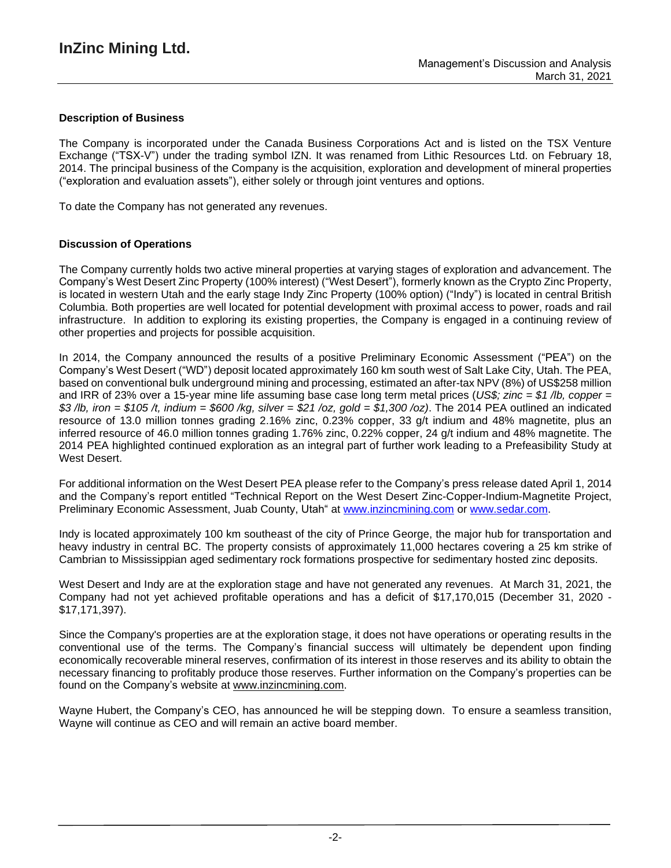## **Description of Business**

The Company is incorporated under the Canada Business Corporations Act and is listed on the TSX Venture Exchange ("TSX-V") under the trading symbol IZN. It was renamed from Lithic Resources Ltd. on February 18, 2014. The principal business of the Company is the acquisition, exploration and development of mineral properties ("exploration and evaluation assets"), either solely or through joint ventures and options.

To date the Company has not generated any revenues.

### **Discussion of Operations**

The Company currently holds two active mineral properties at varying stages of exploration and advancement. The Company's West Desert Zinc Property (100% interest) ("West Desert"), formerly known as the Crypto Zinc Property, is located in western Utah and the early stage Indy Zinc Property (100% option) ("Indy") is located in central British Columbia. Both properties are well located for potential development with proximal access to power, roads and rail infrastructure. In addition to exploring its existing properties, the Company is engaged in a continuing review of other properties and projects for possible acquisition.

In 2014, the Company announced the results of a positive Preliminary Economic Assessment ("PEA") on the Company's West Desert ("WD") deposit located approximately 160 km south west of Salt Lake City, Utah. The PEA, based on conventional bulk underground mining and processing, estimated an after-tax NPV (8%) of US\$258 million and IRR of 23% over a 15-year mine life assuming base case long term metal prices (*US\$; zinc = \$1 /lb, copper =* \$3/lb, iron = \$105/t, indium = \$600/kg, silver = \$21/oz, gold = \$1,300/oz). The 2014 PEA outlined an indicated resource of 13.0 million tonnes grading 2.16% zinc, 0.23% copper, 33 g/t indium and 48% magnetite, plus an inferred resource of 46.0 million tonnes grading 1.76% zinc, 0.22% copper, 24 g/t indium and 48% magnetite. The 2014 PEA highlighted continued exploration as an integral part of further work leading to a Prefeasibility Study at West Desert.

For additional information on the West Desert PEA please refer to the Company's press release dated April 1, 2014 and the Company's report entitled "Technical Report on the West Desert Zinc-Copper-Indium-Magnetite Project, Preliminary Economic Assessment, Juab County, Utah" at [www.inzincmining.com](http://www.inzincmining.com/) or [www.sedar.com.](http://www.sedar.com/)

Indy is located approximately 100 km southeast of the city of Prince George, the major hub for transportation and heavy industry in central BC. The property consists of approximately 11,000 hectares covering a 25 km strike of Cambrian to Mississippian aged sedimentary rock formations prospective for sedimentary hosted zinc deposits.

West Desert and Indy are at the exploration stage and have not generated any revenues. At March 31, 2021, the Company had not yet achieved profitable operations and has a deficit of \$17,170,015 (December 31, 2020 - \$17,171,397).

Since the Company's properties are at the exploration stage, it does not have operations or operating results in the conventional use of the terms. The Company's financial success will ultimately be dependent upon finding economically recoverable mineral reserves, confirmation of its interest in those reserves and its ability to obtain the necessary financing to profitably produce those reserves. Further information on the Company's properties can be found on the Company's website at [www.inzincmining.com.](http://www.inzincmining.com/)

Wayne Hubert, the Company's CEO, has announced he will be stepping down. To ensure a seamless transition, Wayne will continue as CEO and will remain an active board member.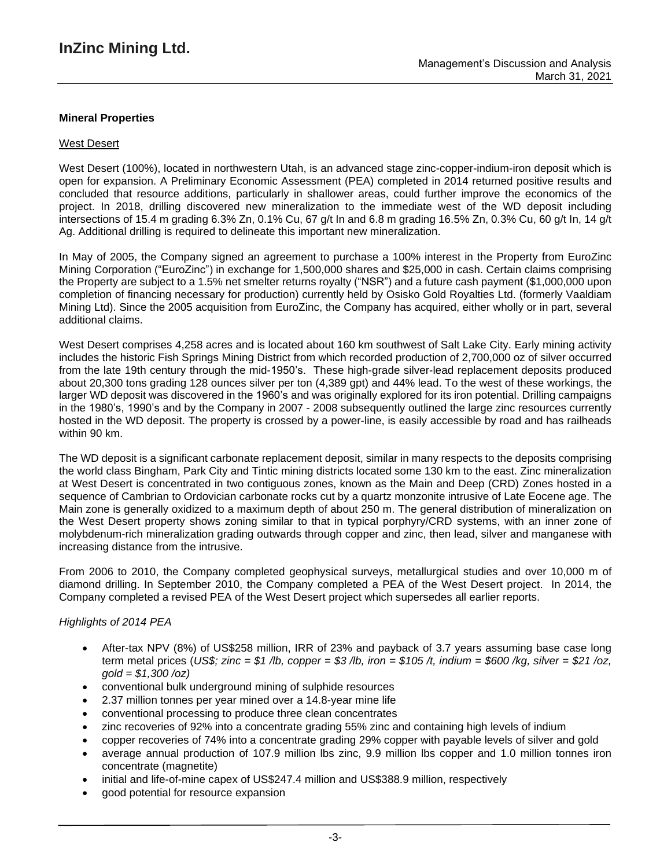## **Mineral Properties**

### West Desert

West Desert (100%), located in northwestern Utah, is an advanced stage zinc-copper-indium-iron deposit which is open for expansion. A Preliminary Economic Assessment (PEA) completed in 2014 returned positive results and concluded that resource additions, particularly in shallower areas, could further improve the economics of the project. In 2018, drilling discovered new mineralization to the immediate west of the WD deposit including intersections of 15.4 m grading 6.3% Zn, 0.1% Cu, 67 g/t In and 6.8 m grading 16.5% Zn, 0.3% Cu, 60 g/t In, 14 g/t Ag. Additional drilling is required to delineate this important new mineralization.

In May of 2005, the Company signed an agreement to purchase a 100% interest in the Property from EuroZinc Mining Corporation ("EuroZinc") in exchange for 1,500,000 shares and \$25,000 in cash. Certain claims comprising the Property are subject to a 1.5% net smelter returns royalty ("NSR") and a future cash payment (\$1,000,000 upon completion of financing necessary for production) currently held by Osisko Gold Royalties Ltd. (formerly Vaaldiam Mining Ltd). Since the 2005 acquisition from EuroZinc, the Company has acquired, either wholly or in part, several additional claims.

West Desert comprises 4,258 acres and is located about 160 km southwest of Salt Lake City. Early mining activity includes the historic Fish Springs Mining District from which recorded production of 2,700,000 oz of silver occurred from the late 19th century through the mid-1950's. These high-grade silver-lead replacement deposits produced about 20,300 tons grading 128 ounces silver per ton (4,389 gpt) and 44% lead. To the west of these workings, the larger WD deposit was discovered in the 1960's and was originally explored for its iron potential. Drilling campaigns in the 1980's, 1990's and by the Company in 2007 - 2008 subsequently outlined the large zinc resources currently hosted in the WD deposit. The property is crossed by a power-line, is easily accessible by road and has railheads within 90 km.

The WD deposit is a significant carbonate replacement deposit, similar in many respects to the deposits comprising the world class Bingham, Park City and Tintic mining districts located some 130 km to the east. Zinc mineralization at West Desert is concentrated in two contiguous zones, known as the Main and Deep (CRD) Zones hosted in a sequence of Cambrian to Ordovician carbonate rocks cut by a quartz monzonite intrusive of Late Eocene age. The Main zone is generally oxidized to a maximum depth of about 250 m. The general distribution of mineralization on the West Desert property shows zoning similar to that in typical porphyry/CRD systems, with an inner zone of molybdenum-rich mineralization grading outwards through copper and zinc, then lead, silver and manganese with increasing distance from the intrusive.

From 2006 to 2010, the Company completed geophysical surveys, metallurgical studies and over 10,000 m of diamond drilling. In September 2010, the Company completed a PEA of the West Desert project. In 2014, the Company completed a revised PEA of the West Desert project which supersedes all earlier reports.

#### *Highlights of 2014 PEA*

- After-tax NPV (8%) of US\$258 million, IRR of 23% and payback of 3.7 years assuming base case long term metal prices (US\$; zinc = \$1 /b, copper = \$3 /b, iron = \$105 /t, indium = \$600 /kg, silver = \$21 /oz, *gold = \$1,300 /oz)*
- conventional bulk underground mining of sulphide resources
- 2.37 million tonnes per year mined over a 14.8-year mine life
- conventional processing to produce three clean concentrates
- zinc recoveries of 92% into a concentrate grading 55% zinc and containing high levels of indium
- copper recoveries of 74% into a concentrate grading 29% copper with payable levels of silver and gold
- average annual production of 107.9 million lbs zinc, 9.9 million lbs copper and 1.0 million tonnes iron concentrate (magnetite)
- initial and life-of-mine capex of US\$247.4 million and US\$388.9 million, respectively
- good potential for resource expansion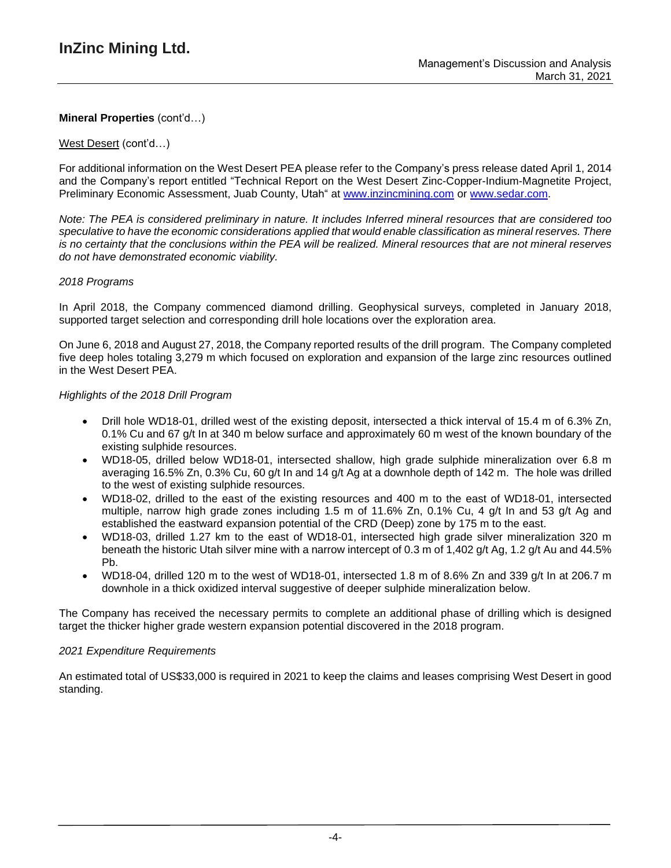### West Desert (cont'd…)

For additional information on the West Desert PEA please refer to the Company's press release dated April 1, 2014 and the Company's report entitled "Technical Report on the West Desert Zinc-Copper-Indium-Magnetite Project, Preliminary Economic Assessment, Juab County, Utah" at [www.inzincmining.com](http://www.inzincmining.com/) or [www.sedar.com.](http://www.sedar.com/)

Note: The PEA is considered preliminary in nature. It includes Inferred mineral resources that are considered too *speculative to have the economic considerations applied that would enable classification as mineral reserves. There* is no certainty that the conclusions within the PEA will be realized. Mineral resources that are not mineral reserves *do not have demonstrated economic viability.*

### *2018 Programs*

In April 2018, the Company commenced diamond drilling. Geophysical surveys, completed in January 2018, supported target selection and corresponding drill hole locations over the exploration area.

On June 6, 2018 and August 27, 2018, the Company reported results of the drill program. The Company completed five deep holes totaling 3,279 m which focused on exploration and expansion of the large zinc resources outlined in the West Desert PEA.

### *Highlights of the 2018 Drill Program*

- Drill hole WD18-01, drilled west of the existing deposit, intersected a thick interval of 15.4 m of 6.3% Zn, 0.1% Cu and 67 g/t In at 340 m below surface and approximately 60 m west of the known boundary of the existing sulphide resources.
- WD18-05, drilled below WD18-01, intersected shallow, high grade sulphide mineralization over 6.8 m averaging 16.5% Zn, 0.3% Cu, 60 g/t In and 14 g/t Ag at a downhole depth of 142 m. The hole was drilled to the west of existing sulphide resources.
- WD18-02, drilled to the east of the existing resources and 400 m to the east of WD18-01, intersected multiple, narrow high grade zones including 1.5 m of 11.6% Zn, 0.1% Cu, 4 g/t In and 53 g/t Ag and established the eastward expansion potential of the CRD (Deep) zone by 175 m to the east.
- WD18-03, drilled 1.27 km to the east of WD18-01, intersected high grade silver mineralization 320 m beneath the historic Utah silver mine with a narrow intercept of 0.3 m of 1,402 g/t Ag, 1.2 g/t Au and 44.5% Pb.
- WD18-04, drilled 120 m to the west of WD18-01, intersected 1.8 m of 8.6% Zn and 339  $\alpha/t$  In at 206.7 m downhole in a thick oxidized interval suggestive of deeper sulphide mineralization below.

The Company has received the necessary permits to complete an additional phase of drilling which is designed target the thicker higher grade western expansion potential discovered in the 2018 program.

#### *2021 Expenditure Requirements*

An estimated total of US\$33,000 is required in 2021 to keep the claims and leases comprising West Desert in good standing.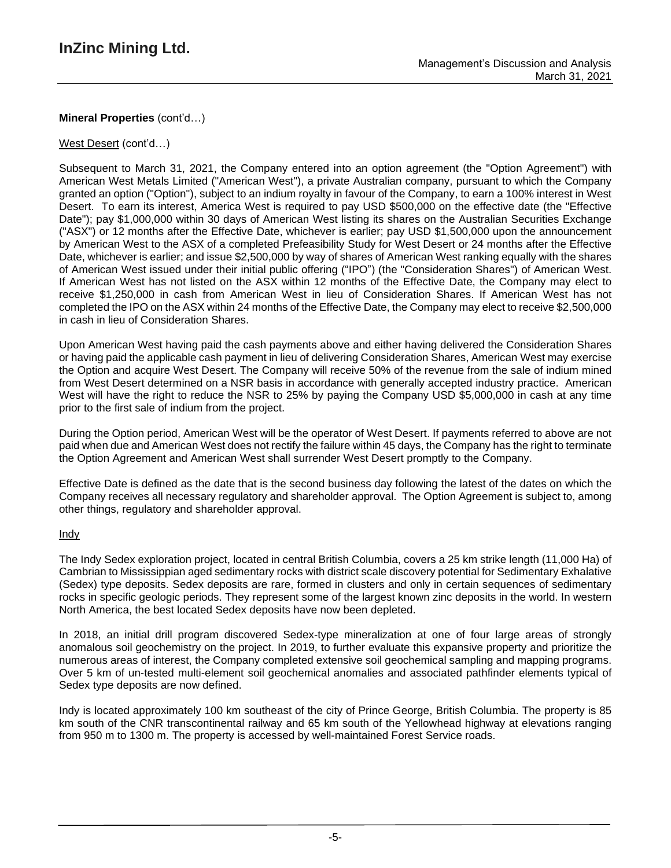## West Desert (cont'd…)

Subsequent to March 31, 2021, the Company entered into an option agreement (the "Option Agreement") with American West Metals Limited ("American West"), a private Australian company, pursuant to which the Company granted an option ("Option"), subject to an indium royalty in favour of the Company, to earn a 100% interest in West Desert. To earn its interest, America West is required to pay USD \$500,000 on the effective date (the "Effective Date"); pay \$1,000,000 within 30 days of American West listing its shares on the Australian Securities Exchange ("ASX") or 12 months after the Effective Date, whichever is earlier; pay USD \$1,500,000 upon the announcement by American West to the ASX of a completed Prefeasibility Study for West Desert or 24 months after the Effective Date, whichever is earlier; and issue \$2,500,000 by way of shares of American West ranking equally with the shares of American West issued under their initial public offering ("IPO") (the "Consideration Shares") of American West. If American West has not listed on the ASX within 12 months of the Effective Date, the Company may elect to receive \$1,250,000 in cash from American West in lieu of Consideration Shares. If American West has not completed the IPO on the ASX within 24 months of the Effective Date, the Company may elect to receive \$2,500,000 in cash in lieu of Consideration Shares.

Upon American West having paid the cash payments above and either having delivered the Consideration Shares or having paid the applicable cash payment in lieu of delivering Consideration Shares, American West may exercise the Option and acquire West Desert. The Company will receive 50% of the revenue from the sale of indium mined from West Desert determined on a NSR basis in accordance with generally accepted industry practice. American West will have the right to reduce the NSR to 25% by paying the Company USD \$5,000,000 in cash at any time prior to the first sale of indium from the project.

During the Option period, American West will be the operator of West Desert. If payments referred to above are not paid when due and American West does not rectify the failure within 45 days, the Company has the right to terminate the Option Agreement and American West shall surrender West Desert promptly to the Company.

Effective Date is defined as the date that is the second business day following the latest of the dates on which the Company receives all necessary regulatory and shareholder approval. The Option Agreement is subject to, among other things, regulatory and shareholder approval.

## Indy

The Indy Sedex exploration project, located in central British Columbia, covers a 25 km strike length (11,000 Ha) of Cambrian to Mississippian aged sedimentary rocks with district scale discovery potential for Sedimentary Exhalative (Sedex) type deposits. Sedex deposits are rare, formed in clusters and only in certain sequences of sedimentary rocks in specific geologic periods. They represent some of the largest known zinc deposits in the world. In western North America, the best located Sedex deposits have now been depleted.

In 2018, an initial drill program discovered Sedex-type mineralization at one of four large areas of strongly anomalous soil geochemistry on the project. In 2019, to further evaluate this expansive property and prioritize the numerous areas of interest, the Company completed extensive soil geochemical sampling and mapping programs. Over 5 km of un-tested multi-element soil geochemical anomalies and associated pathfinder elements typical of Sedex type deposits are now defined.

Indy is located approximately 100 km southeast of the city of Prince George, British Columbia. The property is 85 km south of the CNR transcontinental railway and 65 km south of the Yellowhead highway at elevations ranging from 950 m to 1300 m. The property is accessed by well-maintained Forest Service roads.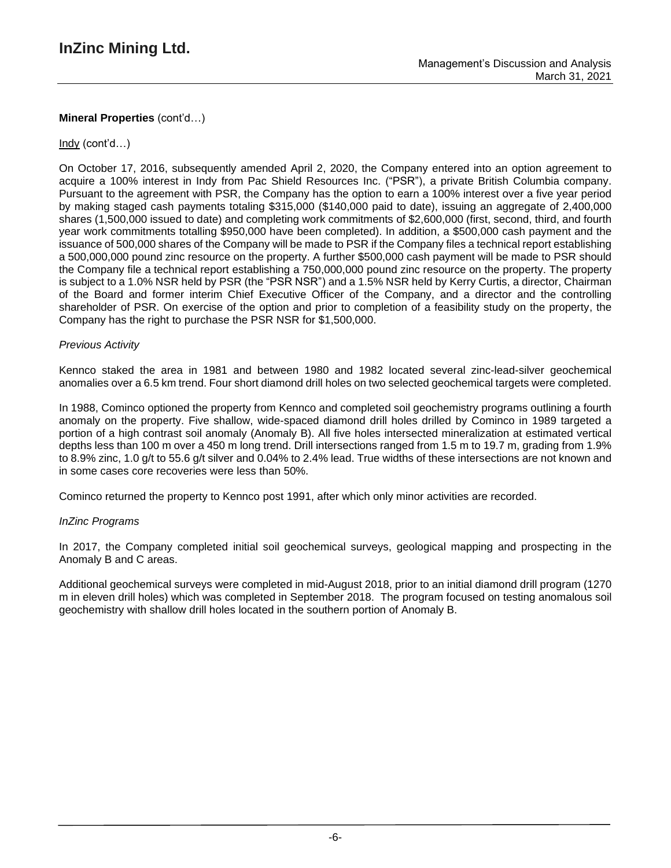## Indy (cont'd…)

On October 17, 2016, subsequently amended April 2, 2020, the Company entered into an option agreement to acquire a 100% interest in Indy from Pac Shield Resources Inc. ("PSR"), a private British Columbia company. Pursuant to the agreement with PSR, the Company has the option to earn a 100% interest over a five year period by making staged cash payments totaling \$315,000 (\$140,000 paid to date), issuing an aggregate of 2,400,000 shares (1,500,000 issued to date) and completing work commitments of \$2,600,000 (first, second, third, and fourth year work commitments totalling \$950,000 have been completed). In addition, a \$500,000 cash payment and the issuance of 500,000 shares of the Company will be made to PSR if the Company files a technical report establishing a 500,000,000 pound zinc resource on the property. A further \$500,000 cash payment will be made to PSR should the Company file a technical report establishing a 750,000,000 pound zinc resource on the property. The property is subject to a 1.0% NSR held by PSR (the "PSR NSR") and a 1.5% NSR held by Kerry Curtis, a director, Chairman of the Board and former interim Chief Executive Officer of the Company, and a director and the controlling shareholder of PSR. On exercise of the option and prior to completion of a feasibility study on the property, the Company has the right to purchase the PSR NSR for \$1,500,000.

#### *Previous Activity*

Kennco staked the area in 1981 and between 1980 and 1982 located several zinc-lead-silver geochemical anomalies over a 6.5 km trend. Four short diamond drill holes on two selected geochemical targets were completed.

In 1988, Cominco optioned the property from Kennco and completed soil geochemistry programs outlining a fourth anomaly on the property. Five shallow, wide-spaced diamond drill holes drilled by Cominco in 1989 targeted a portion of a high contrast soil anomaly (Anomaly B). All five holes intersected mineralization at estimated vertical depths less than 100 m over a 450 m long trend. Drill intersections ranged from 1.5 m to 19.7 m, grading from 1.9% to 8.9% zinc, 1.0 g/t to 55.6 g/t silver and 0.04% to 2.4% lead. True widths of these intersections are not known and in some cases core recoveries were less than 50%.

Cominco returned the property to Kennco post 1991, after which only minor activities are recorded.

#### *InZinc Programs*

In 2017, the Company completed initial soil geochemical surveys, geological mapping and prospecting in the Anomaly B and C areas.

Additional geochemical surveys were completed in mid-August 2018, prior to an initial diamond drill program (1270 m in eleven drill holes) which was completed in September 2018. The program focused on testing anomalous soil geochemistry with shallow drill holes located in the southern portion of Anomaly B.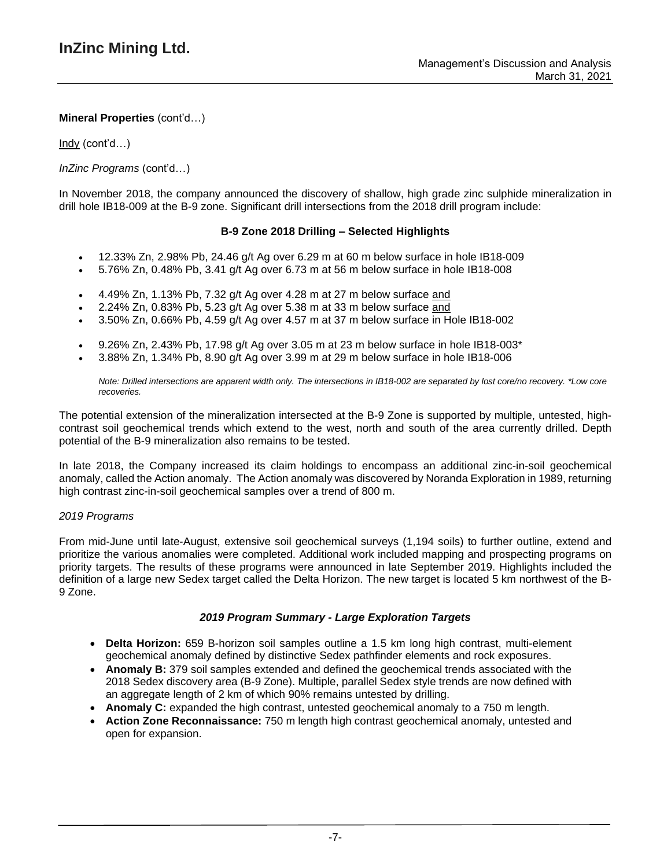Indy (cont'd…)

## *InZinc Programs* (cont'd…)

In November 2018, the company announced the discovery of shallow, high grade zinc sulphide mineralization in drill hole IB18-009 at the B-9 zone. Significant drill intersections from the 2018 drill program include:

### **B-9 Zone 2018 Drilling – Selected Highlights**

- 12.33% Zn, 2.98% Pb, 24.46 g/t Ag over 6.29 m at 60 m below surface in hole IB18-009
- 5.76% Zn, 0.48% Pb, 3.41 g/t Ag over 6.73 m at 56 m below surface in hole IB18-008
- 4.49% Zn, 1.13% Pb, 7.32 g/t Ag over 4.28 m at 27 m below surface and
- 2.24% Zn, 0.83% Pb, 5.23 g/t Ag over 5.38 m at 33 m below surface and
- 3.50% Zn, 0.66% Pb, 4.59 g/t Ag over 4.57 m at 37 m below surface in Hole IB18-002
- 9.26% Zn, 2.43% Pb, 17.98 g/t Ag over 3.05 m at 23 m below surface in hole IB18-003\*
- 3.88% Zn, 1.34% Pb, 8.90 g/t Ag over 3.99 m at 29 m below surface in hole IB18-006

Note: Drilled intersections are apparent width only. The intersections in IB18-002 are separated by lost core/no recovery. \*Low core *recoveries.*

The potential extension of the mineralization intersected at the B-9 Zone is supported by multiple, untested, highcontrast soil geochemical trends which extend to the west, north and south of the area currently drilled. Depth potential of the B-9 mineralization also remains to be tested.

In late 2018, the Company increased its claim holdings to encompass an additional zinc-in-soil geochemical anomaly, called the Action anomaly. The Action anomaly was discovered by Noranda Exploration in 1989, returning high contrast zinc-in-soil geochemical samples over a trend of 800 m.

#### *2019 Programs*

From mid-June until late-August, extensive soil geochemical surveys (1,194 soils) to further outline, extend and prioritize the various anomalies were completed. Additional work included mapping and prospecting programs on priority targets. The results of these programs were announced in late September 2019. Highlights included the definition of a large new Sedex target called the Delta Horizon. The new target is located 5 km northwest of the B-9 Zone.

#### *2019 Program Summary - Large Exploration Targets*

- **Delta Horizon:** 659 B-horizon soil samples outline a 1.5 km long high contrast, multi-element geochemical anomaly defined by distinctive Sedex pathfinder elements and rock exposures.
- **Anomaly B:** 379 soil samples extended and defined the geochemical trends associated with the 2018 Sedex discovery area (B-9 Zone). Multiple, parallel Sedex style trends are now defined with an aggregate length of 2 km of which 90% remains untested by drilling.
- **Anomaly C:** expanded the high contrast, untested geochemical anomaly to a 750 m length.
- **Action Zone Reconnaissance:** 750 m length high contrast geochemical anomaly, untested and open for expansion.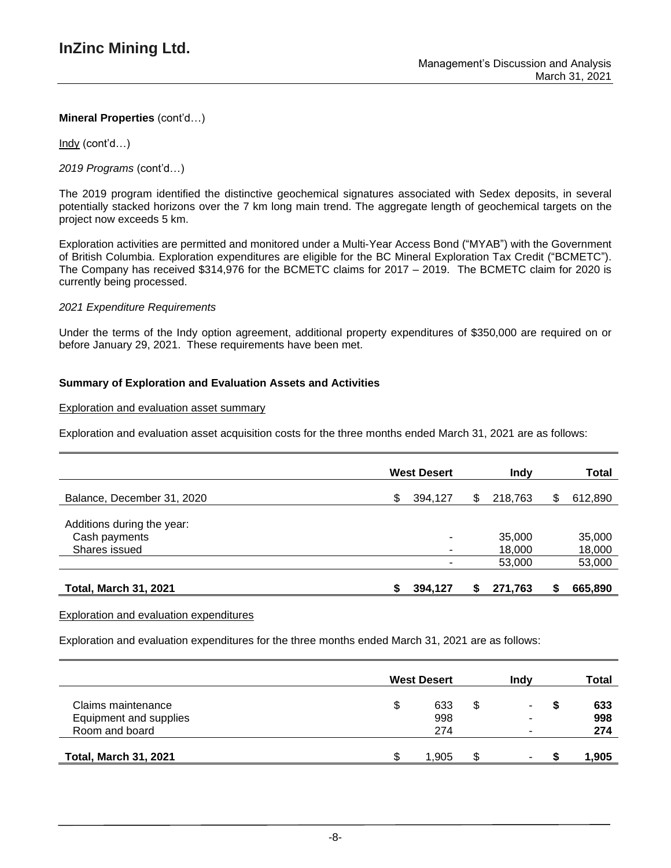Indy (cont'd…)

*2019 Programs* (cont'd…)

The 2019 program identified the distinctive geochemical signatures associated with Sedex deposits, in several potentially stacked horizons over the 7 km long main trend. The aggregate length of geochemical targets on the project now exceeds 5 km.

Exploration activities are permitted and monitored under a Multi-Year Access Bond ("MYAB") with the Government of British Columbia. Exploration expenditures are eligible for the BC Mineral Exploration Tax Credit ("BCMETC"). The Company has received \$314,976 for the BCMETC claims for 2017 – 2019. The BCMETC claim for 2020 is currently being processed.

#### *2021 Expenditure Requirements*

Under the terms of the Indy option agreement, additional property expenditures of \$350,000 are required on or before January 29, 2021. These requirements have been met.

## **Summary of Exploration and Evaluation Assets and Activities**

#### Exploration and evaluation asset summary

Exploration and evaluation asset acquisition costs for the three months ended March 31, 2021 are as follows:

|                              | <b>West Desert</b> |         |   | Indy    | Total |         |
|------------------------------|--------------------|---------|---|---------|-------|---------|
| Balance, December 31, 2020   | \$.                | 394,127 | S | 218,763 | \$    | 612,890 |
| Additions during the year:   |                    |         |   |         |       |         |
| Cash payments                |                    | ۰       |   | 35,000  |       | 35,000  |
| Shares issued                |                    | ۰       |   | 18,000  |       | 18,000  |
|                              |                    |         |   | 53,000  |       | 53,000  |
| <b>Total, March 31, 2021</b> |                    | 394.127 |   | 271,763 | S     | 665,890 |

#### Exploration and evaluation expenditures

Exploration and evaluation expenditures for the three months ended March 31, 2021 are as follows:

|                              |   | <b>West Desert</b> |     | Indv   |   | Total |
|------------------------------|---|--------------------|-----|--------|---|-------|
| Claims maintenance           | S | 633                | \$. | $\sim$ | S | 633   |
| Equipment and supplies       |   | 998                |     |        |   | 998   |
| Room and board               |   | 274                |     |        |   | 274   |
| <b>Total, March 31, 2021</b> |   | 1.905              |     | ۰.     |   | 1,905 |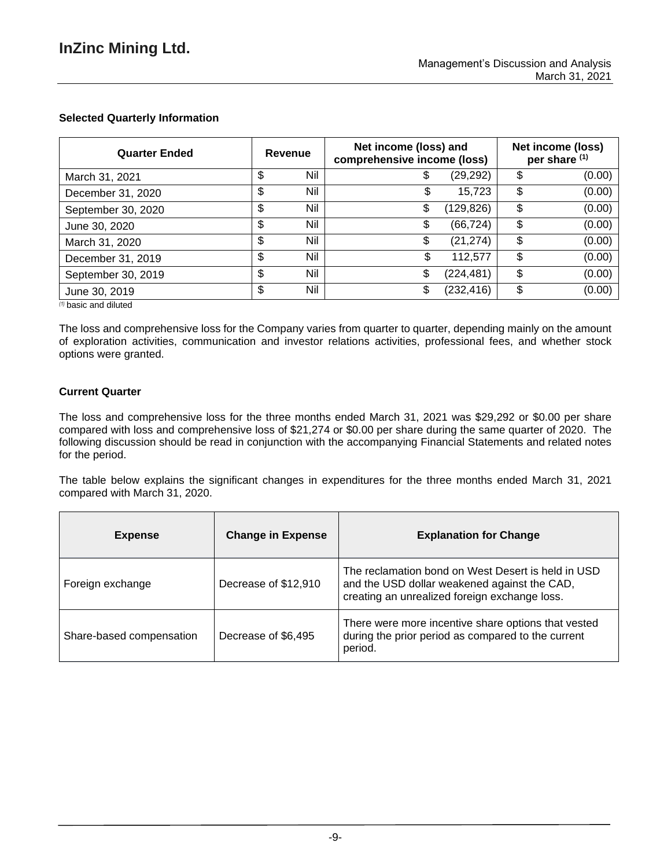## **Selected Quarterly Information**

| <b>Quarter Ended</b> | Revenue |     | Net income (loss) and<br>comprehensive income (loss) |            |    | Net income (loss)<br>per share (1) |
|----------------------|---------|-----|------------------------------------------------------|------------|----|------------------------------------|
| March 31, 2021       | c<br>J  | Nil | Φ                                                    | (29,292)   | \$ | (0.00)                             |
| December 31, 2020    | \$      | Nil | \$                                                   | 15,723     | \$ | (0.00)                             |
| September 30, 2020   | \$      | Nil | \$                                                   | (129, 826) | \$ | (0.00)                             |
| June 30, 2020        | \$      | Nil | \$                                                   | (66, 724)  | \$ | (0.00)                             |
| March 31, 2020       | \$      | Nil | \$                                                   | (21, 274)  | \$ | (0.00)                             |
| December 31, 2019    | \$      | Nil | \$                                                   | 112,577    | \$ | (0.00)                             |
| September 30, 2019   | \$      | Nil | S                                                    | (224,481)  | \$ | (0.00)                             |
| June 30, 2019        | \$      | Nil | \$                                                   | (232, 416) | \$ | (0.00)                             |

*(1)* basic and diluted

The loss and comprehensive loss for the Company varies from quarter to quarter, depending mainly on the amount of exploration activities, communication and investor relations activities, professional fees, and whether stock options were granted.

## **Current Quarter**

The loss and comprehensive loss for the three months ended March 31, 2021 was \$29,292 or \$0.00 per share compared with loss and comprehensive loss of \$21,274 or \$0.00 per share during the same quarter of 2020. The following discussion should be read in conjunction with the accompanying Financial Statements and related notes for the period.

The table below explains the significant changes in expenditures for the three months ended March 31, 2021 compared with March 31, 2020.

| <b>Expense</b>           | <b>Change in Expense</b> | <b>Explanation for Change</b>                                                                                                                       |
|--------------------------|--------------------------|-----------------------------------------------------------------------------------------------------------------------------------------------------|
| Foreign exchange         | Decrease of \$12,910     | The reclamation bond on West Desert is held in USD<br>and the USD dollar weakened against the CAD,<br>creating an unrealized foreign exchange loss. |
| Share-based compensation | Decrease of \$6,495      | There were more incentive share options that vested<br>during the prior period as compared to the current<br>period.                                |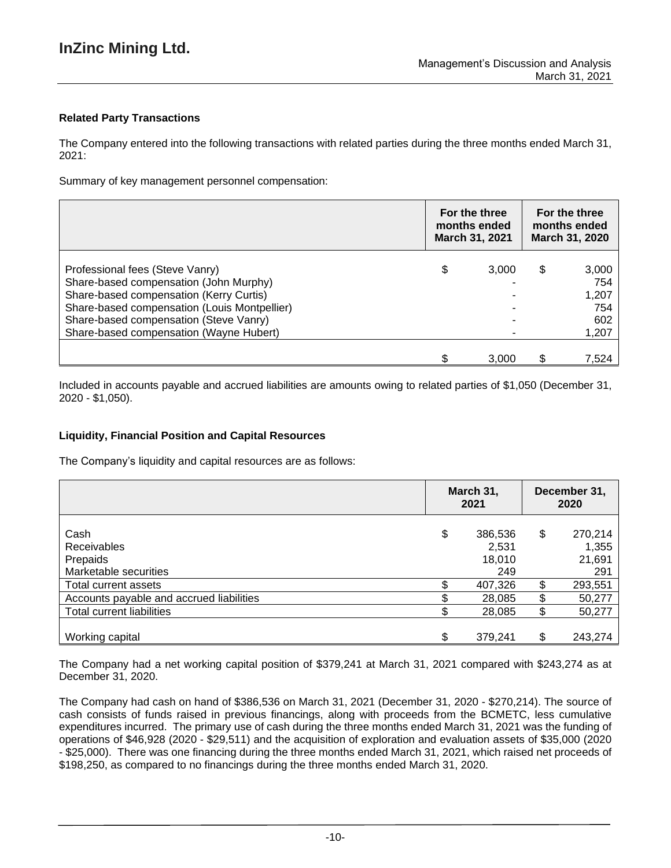## **Related Party Transactions**

The Company entered into the following transactions with related parties during the three months ended March 31, 2021:

Summary of key management personnel compensation:

|                                                                                                                                                                                                                                                           | For the three<br>months ended<br>March 31, 2021 |       | For the three<br>months ended<br>March 31, 2020 |                                              |
|-----------------------------------------------------------------------------------------------------------------------------------------------------------------------------------------------------------------------------------------------------------|-------------------------------------------------|-------|-------------------------------------------------|----------------------------------------------|
| Professional fees (Steve Vanry)<br>Share-based compensation (John Murphy)<br>Share-based compensation (Kerry Curtis)<br>Share-based compensation (Louis Montpellier)<br>Share-based compensation (Steve Vanry)<br>Share-based compensation (Wayne Hubert) | \$                                              | 3.000 | \$                                              | 3,000<br>754<br>1,207<br>754<br>602<br>1,207 |
|                                                                                                                                                                                                                                                           |                                                 | 3.000 |                                                 | 7,524                                        |

Included in accounts payable and accrued liabilities are amounts owing to related parties of \$1,050 (December 31, 2020 - \$1,050).

## **Liquidity, Financial Position and Capital Resources**

The Company's liquidity and capital resources are as follows:

|                                                          |    | March 31,<br>2021                 | December 31,<br>2020 |                                   |  |
|----------------------------------------------------------|----|-----------------------------------|----------------------|-----------------------------------|--|
| Cash<br>Receivables<br>Prepaids<br>Marketable securities | \$ | 386,536<br>2,531<br>18,010<br>249 | \$                   | 270,214<br>1,355<br>21,691<br>291 |  |
| Total current assets                                     |    | 407,326                           | \$                   | 293,551                           |  |
| Accounts payable and accrued liabilities                 |    | 28,085                            | \$                   | 50,277                            |  |
| <b>Total current liabilities</b>                         |    | 28,085                            | \$                   | 50,277                            |  |
| Working capital                                          | ¢  | 379,241                           | \$                   | 243,274                           |  |

The Company had a net working capital position of \$379,241 at March 31, 2021 compared with \$243,274 as at December 31, 2020.

The Company had cash on hand of \$386,536 on March 31, 2021 (December 31, 2020 - \$270,214). The source of cash consists of funds raised in previous financings, along with proceeds from the BCMETC, less cumulative expenditures incurred. The primary use of cash during the three months ended March 31, 2021 was the funding of operations of \$46,928 (2020 - \$29,511) and the acquisition of exploration and evaluation assets of \$35,000 (2020 - \$25,000). There was one financing during the three months ended March 31, 2021, which raised net proceeds of \$198,250, as compared to no financings during the three months ended March 31, 2020.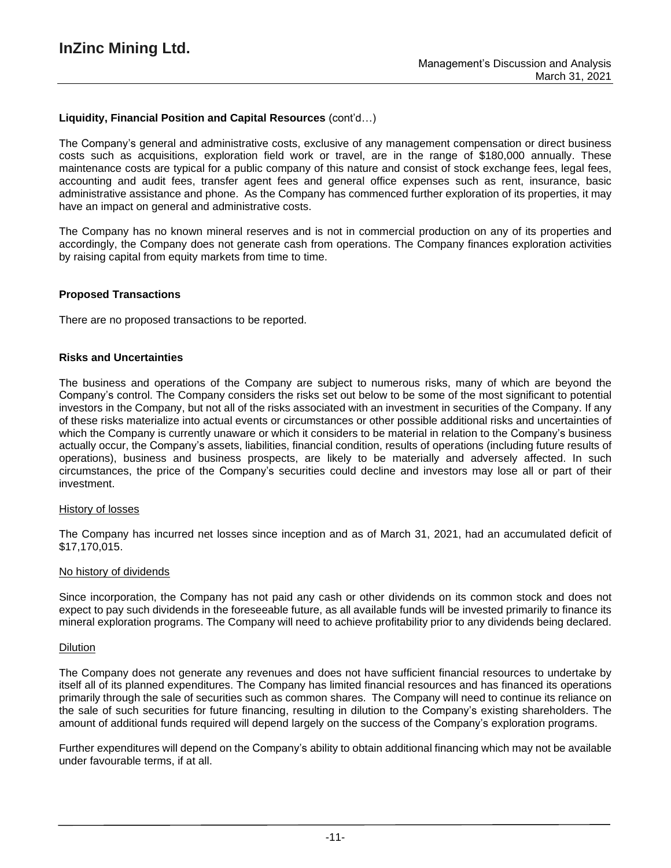### **Liquidity, Financial Position and Capital Resources** (cont'd…)

The Company's general and administrative costs, exclusive of any management compensation or direct business costs such as acquisitions, exploration field work or travel, are in the range of \$180,000 annually. These maintenance costs are typical for a public company of this nature and consist of stock exchange fees, legal fees, accounting and audit fees, transfer agent fees and general office expenses such as rent, insurance, basic administrative assistance and phone. As the Company has commenced further exploration of its properties, it may have an impact on general and administrative costs.

The Company has no known mineral reserves and is not in commercial production on any of its properties and accordingly, the Company does not generate cash from operations. The Company finances exploration activities by raising capital from equity markets from time to time.

#### **Proposed Transactions**

There are no proposed transactions to be reported.

#### **Risks and Uncertainties**

The business and operations of the Company are subject to numerous risks, many of which are beyond the Company's control. The Company considers the risks set out below to be some of the most significant to potential investors in the Company, but not all of the risks associated with an investment in securities of the Company. If any of these risks materialize into actual events or circumstances or other possible additional risks and uncertainties of which the Company is currently unaware or which it considers to be material in relation to the Company's business actually occur, the Company's assets, liabilities, financial condition, results of operations (including future results of operations), business and business prospects, are likely to be materially and adversely affected. In such circumstances, the price of the Company's securities could decline and investors may lose all or part of their investment.

#### History of losses

The Company has incurred net losses since inception and as of March 31, 2021, had an accumulated deficit of \$17,170,015.

#### No history of dividends

Since incorporation, the Company has not paid any cash or other dividends on its common stock and does not expect to pay such dividends in the foreseeable future, as all available funds will be invested primarily to finance its mineral exploration programs. The Company will need to achieve profitability prior to any dividends being declared.

#### Dilution

The Company does not generate any revenues and does not have sufficient financial resources to undertake by itself all of its planned expenditures. The Company has limited financial resources and has financed its operations primarily through the sale of securities such as common shares. The Company will need to continue its reliance on the sale of such securities for future financing, resulting in dilution to the Company's existing shareholders. The amount of additional funds required will depend largely on the success of the Company's exploration programs.

Further expenditures will depend on the Company's ability to obtain additional financing which may not be available under favourable terms, if at all.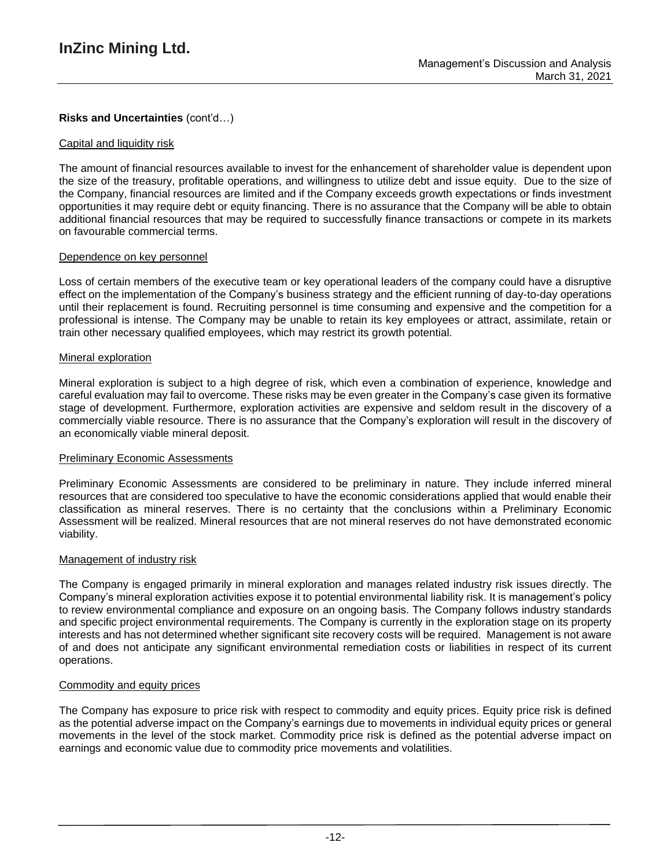## **Risks and Uncertainties** (cont'd…)

### Capital and liquidity risk

The amount of financial resources available to invest for the enhancement of shareholder value is dependent upon the size of the treasury, profitable operations, and willingness to utilize debt and issue equity. Due to the size of the Company, financial resources are limited and if the Company exceeds growth expectations or finds investment opportunities it may require debt or equity financing. There is no assurance that the Company will be able to obtain additional financial resources that may be required to successfully finance transactions or compete in its markets on favourable commercial terms.

### Dependence on key personnel

Loss of certain members of the executive team or key operational leaders of the company could have a disruptive effect on the implementation of the Company's business strategy and the efficient running of day-to-day operations until their replacement is found. Recruiting personnel is time consuming and expensive and the competition for a professional is intense. The Company may be unable to retain its key employees or attract, assimilate, retain or train other necessary qualified employees, which may restrict its growth potential.

#### Mineral exploration

Mineral exploration is subject to a high degree of risk, which even a combination of experience, knowledge and careful evaluation may fail to overcome. These risks may be even greater in the Company's case given its formative stage of development. Furthermore, exploration activities are expensive and seldom result in the discovery of a commercially viable resource. There is no assurance that the Company's exploration will result in the discovery of an economically viable mineral deposit.

#### **Preliminary Economic Assessments**

Preliminary Economic Assessments are considered to be preliminary in nature. They include inferred mineral resources that are considered too speculative to have the economic considerations applied that would enable their classification as mineral reserves. There is no certainty that the conclusions within a Preliminary Economic Assessment will be realized. Mineral resources that are not mineral reserves do not have demonstrated economic viability.

#### Management of industry risk

The Company is engaged primarily in mineral exploration and manages related industry risk issues directly. The Company's mineral exploration activities expose it to potential environmental liability risk. It is management's policy to review environmental compliance and exposure on an ongoing basis. The Company follows industry standards and specific project environmental requirements. The Company is currently in the exploration stage on its property interests and has not determined whether significant site recovery costs will be required. Management is not aware of and does not anticipate any significant environmental remediation costs or liabilities in respect of its current operations.

## Commodity and equity prices

The Company has exposure to price risk with respect to commodity and equity prices. Equity price risk is defined as the potential adverse impact on the Company's earnings due to movements in individual equity prices or general movements in the level of the stock market. Commodity price risk is defined as the potential adverse impact on earnings and economic value due to commodity price movements and volatilities.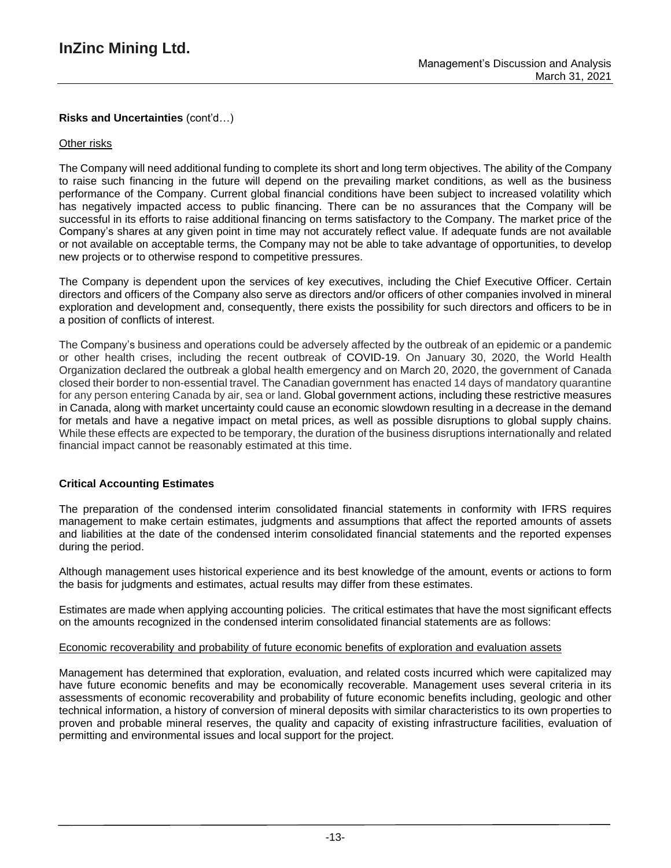## **Risks and Uncertainties** (cont'd…)

### Other risks

The Company will need additional funding to complete its short and long term objectives. The ability of the Company to raise such financing in the future will depend on the prevailing market conditions, as well as the business performance of the Company. Current global financial conditions have been subject to increased volatility which has negatively impacted access to public financing. There can be no assurances that the Company will be successful in its efforts to raise additional financing on terms satisfactory to the Company. The market price of the Company's shares at any given point in time may not accurately reflect value. If adequate funds are not available or not available on acceptable terms, the Company may not be able to take advantage of opportunities, to develop new projects or to otherwise respond to competitive pressures.

The Company is dependent upon the services of key executives, including the Chief Executive Officer. Certain directors and officers of the Company also serve as directors and/or officers of other companies involved in mineral exploration and development and, consequently, there exists the possibility for such directors and officers to be in a position of conflicts of interest.

The Company's business and operations could be adversely affected by the outbreak of an epidemic or a pandemic or other health crises, including the recent outbreak of COVID-19. On January 30, 2020, the World Health Organization declared the outbreak a global health emergency and on March 20, 2020, the government of Canada closed their border to non-essential travel. The Canadian government has enacted 14 days of mandatory quarantine for any person entering Canada by air, sea or land. Global government actions, including these restrictive measures in Canada, along with market uncertainty could cause an economic slowdown resulting in a decrease in the demand for metals and have a negative impact on metal prices, as well as possible disruptions to global supply chains. While these effects are expected to be temporary, the duration of the business disruptions internationally and related financial impact cannot be reasonably estimated at this time.

#### **Critical Accounting Estimates**

The preparation of the condensed interim consolidated financial statements in conformity with IFRS requires management to make certain estimates, judgments and assumptions that affect the reported amounts of assets and liabilities at the date of the condensed interim consolidated financial statements and the reported expenses during the period.

Although management uses historical experience and its best knowledge of the amount, events or actions to form the basis for judgments and estimates, actual results may differ from these estimates.

Estimates are made when applying accounting policies. The critical estimates that have the most significant effects on the amounts recognized in the condensed interim consolidated financial statements are as follows:

### Economic recoverability and probability of future economic benefits of exploration and evaluation assets

Management has determined that exploration, evaluation, and related costs incurred which were capitalized may have future economic benefits and may be economically recoverable. Management uses several criteria in its assessments of economic recoverability and probability of future economic benefits including, geologic and other technical information, a history of conversion of mineral deposits with similar characteristics to its own properties to proven and probable mineral reserves, the quality and capacity of existing infrastructure facilities, evaluation of permitting and environmental issues and local support for the project.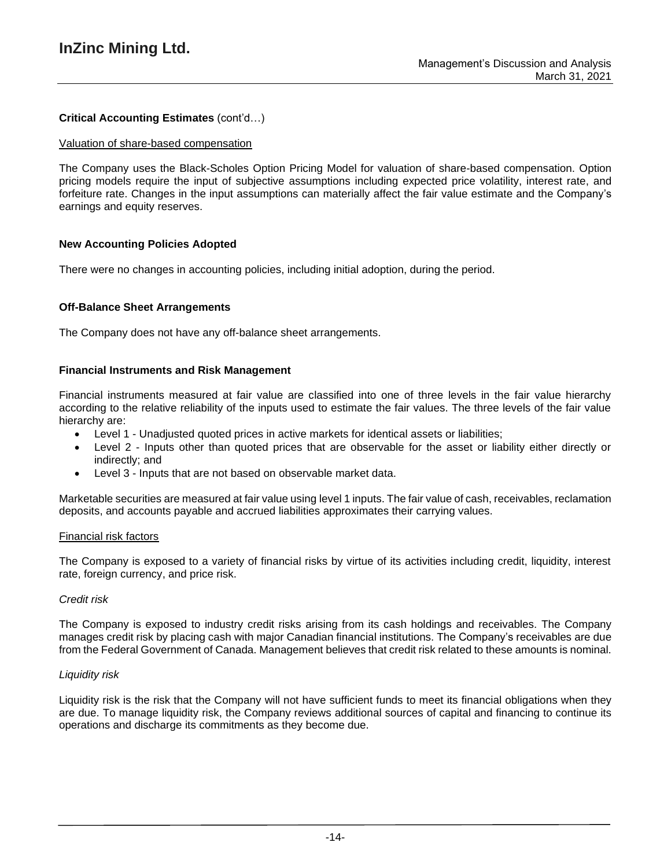## **Critical Accounting Estimates** (cont'd…)

#### Valuation of share-based compensation

The Company uses the Black-Scholes Option Pricing Model for valuation of share-based compensation. Option pricing models require the input of subjective assumptions including expected price volatility, interest rate, and forfeiture rate. Changes in the input assumptions can materially affect the fair value estimate and the Company's earnings and equity reserves.

#### **New Accounting Policies Adopted**

There were no changes in accounting policies, including initial adoption, during the period.

#### **Off-Balance Sheet Arrangements**

The Company does not have any off-balance sheet arrangements.

#### **Financial Instruments and Risk Management**

Financial instruments measured at fair value are classified into one of three levels in the fair value hierarchy according to the relative reliability of the inputs used to estimate the fair values. The three levels of the fair value hierarchy are:

- Level 1 Unadjusted quoted prices in active markets for identical assets or liabilities;
- Level 2 Inputs other than quoted prices that are observable for the asset or liability either directly or indirectly; and
- Level 3 Inputs that are not based on observable market data.

Marketable securities are measured at fair value using level 1 inputs. The fair value of cash, receivables, reclamation deposits, and accounts payable and accrued liabilities approximates their carrying values.

#### Financial risk factors

The Company is exposed to a variety of financial risks by virtue of its activities including credit, liquidity, interest rate, foreign currency, and price risk.

#### *Credit risk*

The Company is exposed to industry credit risks arising from its cash holdings and receivables. The Company manages credit risk by placing cash with major Canadian financial institutions. The Company's receivables are due from the Federal Government of Canada. Management believes that credit risk related to these amounts is nominal.

#### *Liquidity risk*

Liquidity risk is the risk that the Company will not have sufficient funds to meet its financial obligations when they are due. To manage liquidity risk, the Company reviews additional sources of capital and financing to continue its operations and discharge its commitments as they become due.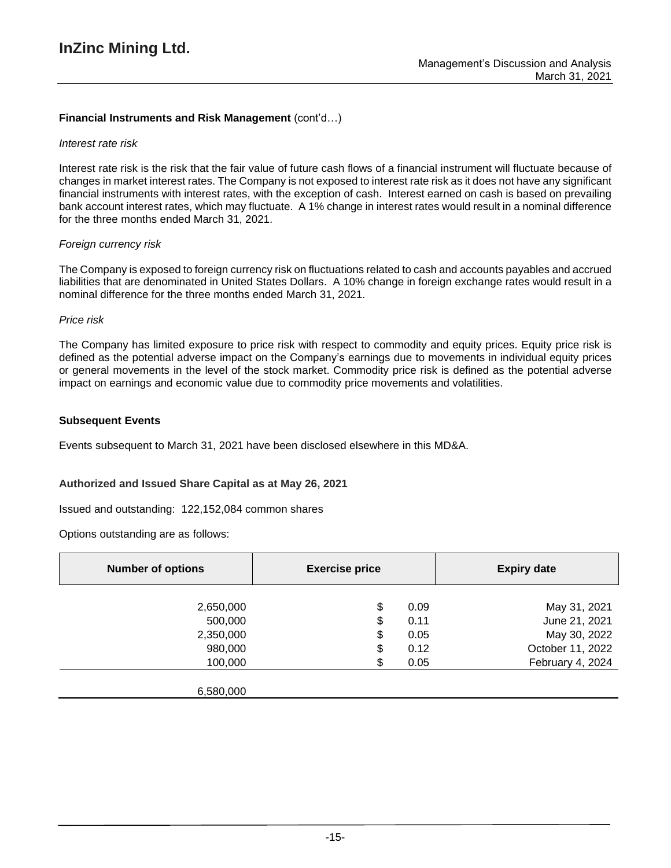## **Financial Instruments and Risk Management** (cont'd…)

#### *Interest rate risk*

Interest rate risk is the risk that the fair value of future cash flows of a financial instrument will fluctuate because of changes in market interest rates. The Company is not exposed to interest rate risk as it does not have any significant financial instruments with interest rates, with the exception of cash. Interest earned on cash is based on prevailing bank account interest rates, which may fluctuate. A 1% change in interest rates would result in a nominal difference for the three months ended March 31, 2021.

#### *Foreign currency risk*

The Company is exposed to foreign currency risk on fluctuations related to cash and accounts payables and accrued liabilities that are denominated in United States Dollars. A 10% change in foreign exchange rates would result in a nominal difference for the three months ended March 31, 2021.

#### *Price risk*

The Company has limited exposure to price risk with respect to commodity and equity prices. Equity price risk is defined as the potential adverse impact on the Company's earnings due to movements in individual equity prices or general movements in the level of the stock market. Commodity price risk is defined as the potential adverse impact on earnings and economic value due to commodity price movements and volatilities.

#### **Subsequent Events**

Events subsequent to March 31, 2021 have been disclosed elsewhere in this MD&A.

#### **Authorized and Issued Share Capital as at May 26, 2021**

Issued and outstanding: 122,152,084 common shares

Options outstanding are as follows:

| <b>Number of options</b> | <b>Exercise price</b> |      | <b>Expiry date</b> |
|--------------------------|-----------------------|------|--------------------|
|                          |                       |      |                    |
| 2,650,000                | \$                    | 0.09 | May 31, 2021       |
| 500,000                  | \$                    | 0.11 | June 21, 2021      |
| 2,350,000                | \$                    | 0.05 | May 30, 2022       |
| 980,000                  | \$                    | 0.12 | October 11, 2022   |
| 100,000                  | \$.                   | 0.05 | February 4, 2024   |
|                          |                       |      |                    |
| 6,580,000                |                       |      |                    |